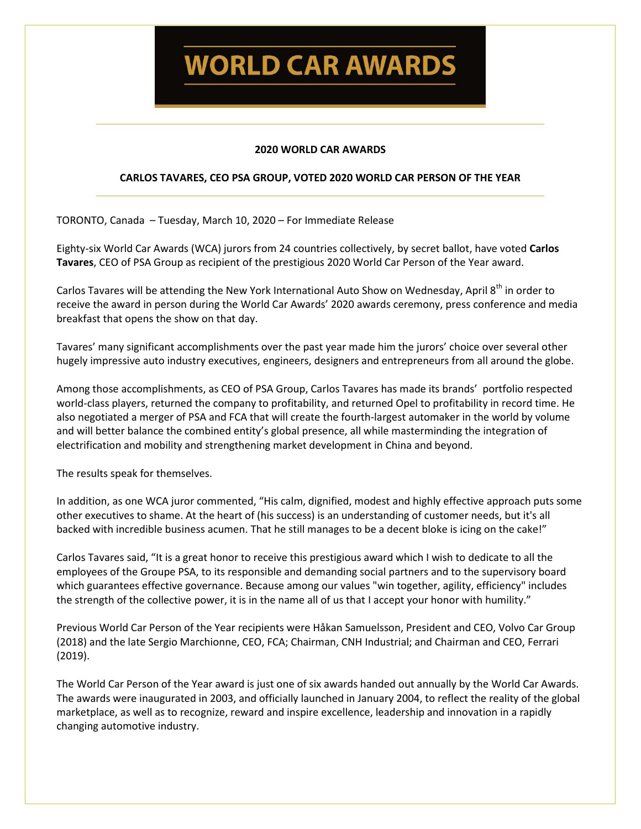**WORLD CAR AWARDS** 

# **2020 WORLD CAR AWARDS**

# **CARLOS TAVARES, CEO PSA GROUP, VOTED 2020 WORLD CAR PERSON OF THE YEAR**

TORONTO, Canada – Tuesday, March 10, 2020 – For Immediate Release

Eighty-six World Car Awards (WCA) jurors from 24 countries collectively, by secret ballot, have voted **Carlos Tavares**, CEO of PSA Group as recipient of the prestigious 2020 World Car Person of the Year award.

Carlos Tavares will be attending the New York International Auto Show on Wednesday, April 8<sup>th</sup> in order to receive the award in person during the World Car Awards' 2020 awards ceremony, press conference and media breakfast that opens the show on that day.

Tavares' many significant accomplishments over the past year made him the jurors' choice over several other hugely impressive auto industry executives, engineers, designers and entrepreneurs from all around the globe.

Among those accomplishments, as CEO of PSA Group, Carlos Tavares has made its brands' portfolio respected world-class players, returned the company to profitability, and returned Opel to profitability in record time. He also negotiated a merger of PSA and FCA that will create the fourth-largest automaker in the world by volume and will better balance the combined entity's global presence, all while masterminding the integration of electrification and mobility and strengthening market development in China and beyond.

The results speak for themselves.

In addition, as one WCA juror commented, "His calm, dignified, modest and highly effective approach puts some other executives to shame. At the heart of (his success) is an understanding of customer needs, but it's all backed with incredible business acumen. That he still manages to be a decent bloke is icing on the cake!"

Carlos Tavares said, "It is a great honor to receive this prestigious award which I wish to dedicate to all the employees of the Groupe PSA, to its responsible and demanding social partners and to the supervisory board which guarantees effective governance. Because among our values "win together, agility, efficiency" includes the strength of the collective power, it is in the name all of us that I accept your honor with humility."

Previous World Car Person of the Year recipients were Håkan Samuelsson, President and CEO, Volvo Car Group (2018) and the late Sergio Marchionne, CEO, FCA; Chairman, CNH Industrial; and Chairman and CEO, Ferrari (2019).

The World Car Person of the Year award is just one of six awards handed out annually by the World Car Awards. The awards were inaugurated in 2003, and officially launched in January 2004, to reflect the reality of the global marketplace, as well as to recognize, reward and inspire excellence, leadership and innovation in a rapidly changing automotive industry.